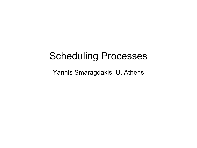#### Scheduling Processes

Yannis Smaragdakis, U. Athens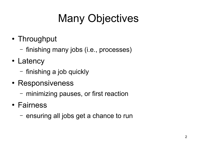# Many Objectives

- Throughput
	- finishing many jobs (i.e., processes)
- Latency
	- finishing a job quickly
- Responsiveness
	- minimizing pauses, or first reaction
- Fairness
	- ensuring all jobs get a chance to run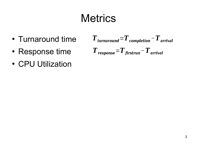# **Metrics**

- Turnaround time
- Response time
- CPU Utilization

$$
T_{\text{turnaround}} = T_{\text{completion}} - T_{\text{arrival}}
$$
  

$$
T_{\text{response}} = T_{\text{firstrun}} - T_{\text{arrival}}
$$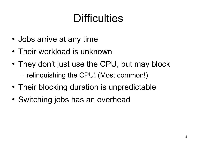# **Difficulties**

- Jobs arrive at any time
- Their workload is unknown
- They don't just use the CPU, but may block – relinquishing the CPU! (Most common!)
- Their blocking duration is unpredictable
- Switching jobs has an overhead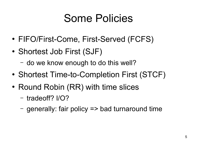### Some Policies

- FIFO/First-Come, First-Served (FCFS)
- Shortest Job First (SJF)
	- do we know enough to do this well?
- Shortest Time-to-Completion First (STCF)
- Round Robin (RR) with time slices
	- tradeoff? I/O?
	- generally: fair policy => bad turnaround time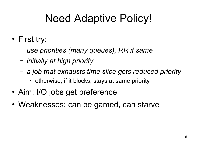# Need Adaptive Policy!

- First try:
	- *use priorities (many queues), RR if same*
	- *initially at high priority*
	- *a job that exhausts time slice gets reduced priority*
		- otherwise, if it blocks, stays at same priority
- Aim: I/O jobs get preference
- Weaknesses: can be gamed, can starve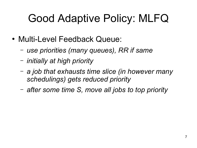# Good Adaptive Policy: MLFQ

- Multi-Level Feedback Queue:
	- *use priorities (many queues), RR if same*
	- *initially at high priority*
	- *a job that exhausts time slice (in however many schedulings) gets reduced priority*
	- *after some time S, move all jobs to top priority*